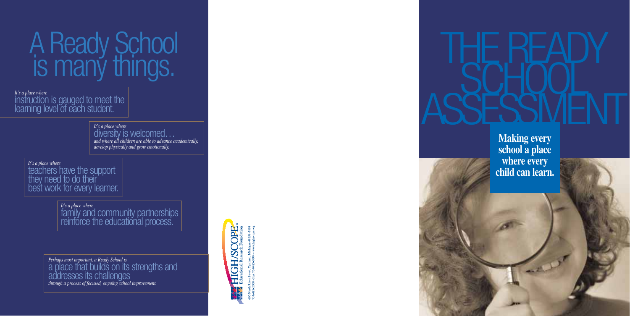*Perhaps most important, a Ready School is*  a place that builds on its strengths and addresses its challenges *through a process of focused, ongoing school improvement.* 



# THE READY<br>ASSESSMENT

**Making every school a place where every child can learn.**

ARL DT

# A Ready School is many things.

*It's a place where*<br>|instruction is gauged to meet the learning level of each student.

> *It's a place where*  diversity is welcomed… *and where all children are able to advance academically, develop physically and grow emotionally.*

*It's a place where* teachers have the support they need to do their' best work for every learner.

> *It's a place where*  family and community partnerships reinforce the educational process.